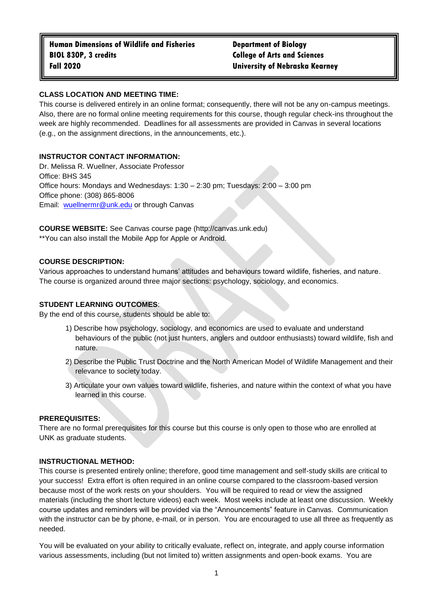## **CLASS LOCATION AND MEETING TIME:**

This course is delivered entirely in an online format; consequently, there will not be any on-campus meetings. Also, there are no formal online meeting requirements for this course, though regular check-ins throughout the week are highly recommended. Deadlines for all assessments are provided in Canvas in several locations (e.g., on the assignment directions, in the announcements, etc.).

# **INSTRUCTOR CONTACT INFORMATION:**

Dr. Melissa R. Wuellner, Associate Professor Office: BHS 345 Office hours: Mondays and Wednesdays: 1:30 – 2:30 pm; Tuesdays: 2:00 – 3:00 pm Office phone: (308) 865-8006 Email: [wuellnermr@unk.edu](mailto:wuellnermr@unk.edu) or through Canvas

**COURSE WEBSITE:** See Canvas course page (http://canvas.unk.edu) \*\*You can also install the Mobile App for Apple or Android.

## **COURSE DESCRIPTION:**

Various approaches to understand humans' attitudes and behaviours toward wildlife, fisheries, and nature. The course is organized around three major sections: psychology, sociology, and economics.

## **STUDENT LEARNING OUTCOMES**:

By the end of this course, students should be able to:

- 1) Describe how psychology, sociology, and economics are used to evaluate and understand behaviours of the public (not just hunters, anglers and outdoor enthusiasts) toward wildlife, fish and nature.
- 2) Describe the Public Trust Doctrine and the North American Model of Wildlife Management and their relevance to society today.
- 3) Articulate your own values toward wildlife, fisheries, and nature within the context of what you have learned in this course.

## **PREREQUISITES:**

There are no formal prerequisites for this course but this course is only open to those who are enrolled at UNK as graduate students.

## **INSTRUCTIONAL METHOD:**

This course is presented entirely online; therefore, good time management and self-study skills are critical to your success! Extra effort is often required in an online course compared to the classroom-based version because most of the work rests on your shoulders. You will be required to read or view the assigned materials (including the short lecture videos) each week. Most weeks include at least one discussion. Weekly course updates and reminders will be provided via the "Announcements" feature in Canvas. Communication with the instructor can be by phone, e-mail, or in person. You are encouraged to use all three as frequently as needed.

You will be evaluated on your ability to critically evaluate, reflect on, integrate, and apply course information various assessments, including (but not limited to) written assignments and open-book exams. You are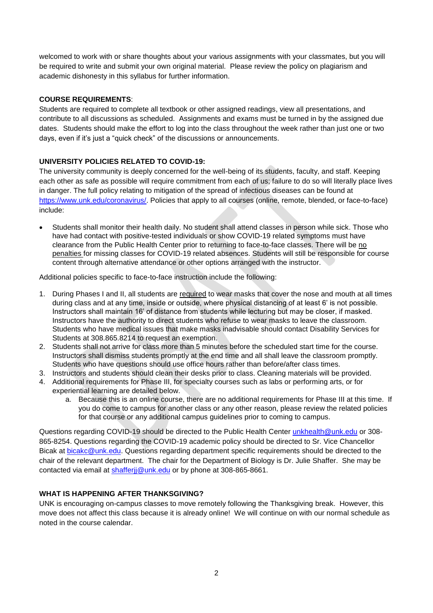welcomed to work with or share thoughts about your various assignments with your classmates, but you will be required to write and submit your own original material. Please review the policy on plagiarism and academic dishonesty in this syllabus for further information.

## **COURSE REQUIREMENTS**:

Students are required to complete all textbook or other assigned readings, view all presentations, and contribute to all discussions as scheduled. Assignments and exams must be turned in by the assigned due dates. Students should make the effort to log into the class throughout the week rather than just one or two days, even if it's just a "quick check" of the discussions or announcements.

## **UNIVERSITY POLICIES RELATED TO COVID-19:**

The university community is deeply concerned for the well-being of its students, faculty, and staff. Keeping each other as safe as possible will require commitment from each of us; failure to do so will literally place lives in danger. The full policy relating to mitigation of the spread of infectious diseases can be found at [https://www.unk.edu/coronavirus/.](https://www.unk.edu/coronavirus/) Policies that apply to all courses (online, remote, blended, or face-to-face) include:

 Students shall monitor their health daily. No student shall attend classes in person while sick. Those who have had contact with positive-tested individuals or show COVID-19 related symptoms must have clearance from the Public Health Center prior to returning to face-to-face classes. There will be no penalties for missing classes for COVID-19 related absences. Students will still be responsible for course content through alternative attendance or other options arranged with the instructor.

Additional policies specific to face-to-face instruction include the following:

- 1. During Phases I and II, all students are required to wear masks that cover the nose and mouth at all times during class and at any time, inside or outside, where physical distancing of at least 6' is not possible. Instructors shall maintain 16' of distance from students while lecturing but may be closer, if masked. Instructors have the authority to direct students who refuse to wear masks to leave the classroom. Students who have medical issues that make masks inadvisable should contact Disability Services for Students at 308.865.8214 to request an exemption.
- 2. Students shall not arrive for class more than 5 minutes before the scheduled start time for the course. Instructors shall dismiss students promptly at the end time and all shall leave the classroom promptly. Students who have questions should use office hours rather than before/after class times.
- 3. Instructors and students should clean their desks prior to class. Cleaning materials will be provided.
- 4. Additional requirements for Phase III, for specialty courses such as labs or performing arts, or for experiential learning are detailed below.
	- a. Because this is an online course, there are no additional requirements for Phase III at this time. If you do come to campus for another class or any other reason, please review the related policies for that course or any additional campus guidelines prior to coming to campus.

Questions regarding COVID-19 should be directed to the Public Health Center [unkhealth@unk.edu](mailto:unkhealth@unk.edu) or 308-865-8254. Questions regarding the COVID-19 academic policy should be directed to Sr. Vice Chancellor Bicak at [bicakc@unk.edu.](mailto:bicakc@unk.edu) Questions regarding department specific requirements should be directed to the chair of the relevant department. The chair for the Department of Biology is Dr. Julie Shaffer. She may be contacted via email at shafferij@unk.edu or by phone at 308-865-8661.

## **WHAT IS HAPPENING AFTER THANKSGIVING?**

UNK is encouraging on-campus classes to move remotely following the Thanksgiving break. However, this move does not affect this class because it is already online! We will continue on with our normal schedule as noted in the course calendar.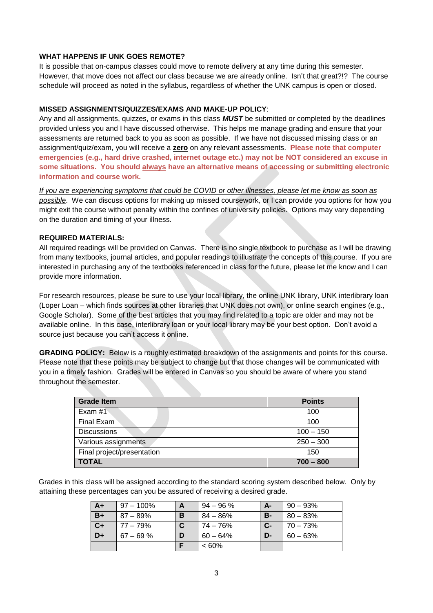## **WHAT HAPPENS IF UNK GOES REMOTE?**

It is possible that on-campus classes could move to remote delivery at any time during this semester. However, that move does not affect our class because we are already online. Isn't that great?!? The course schedule will proceed as noted in the syllabus, regardless of whether the UNK campus is open or closed.

#### **MISSED ASSIGNMENTS/QUIZZES/EXAMS AND MAKE-UP POLICY**:

Any and all assignments, quizzes, or exams in this class *MUST* be submitted or completed by the deadlines provided unless you and I have discussed otherwise. This helps me manage grading and ensure that your assessments are returned back to you as soon as possible. If we have not discussed missing class or an assignment/quiz/exam, you will receive a **zero** on any relevant assessments. **Please note that computer emergencies (e.g., hard drive crashed, internet outage etc.) may not be NOT considered an excuse in some situations. You should always have an alternative means of accessing or submitting electronic information and course work.**

*If you are experiencing symptoms that could be COVID or other illnesses, please let me know as soon as possible*. We can discuss options for making up missed coursework, or I can provide you options for how you might exit the course without penalty within the confines of university policies. Options may vary depending on the duration and timing of your illness.

#### **REQUIRED MATERIALS:**

All required readings will be provided on Canvas. There is no single textbook to purchase as I will be drawing from many textbooks, journal articles, and popular readings to illustrate the concepts of this course. If you are interested in purchasing any of the textbooks referenced in class for the future, please let me know and I can provide more information.

For research resources, please be sure to use your local library, the online UNK library, UNK interlibrary loan (Loper Loan – which finds sources at other libraries that UNK does not own), or online search engines (e.g., Google Scholar). Some of the best articles that you may find related to a topic are older and may not be available online. In this case, interlibrary loan or your local library may be your best option. Don't avoid a source just because you can't access it online.

**GRADING POLICY:** Below is a roughly estimated breakdown of the assignments and points for this course. Please note that these points may be subject to change but that those changes will be communicated with you in a timely fashion. Grades will be entered in Canvas so you should be aware of where you stand throughout the semester.

| <b>Grade Item</b>          | <b>Points</b> |
|----------------------------|---------------|
| Exam $#1$                  | 100           |
| Final Exam                 | 100           |
| <b>Discussions</b>         | $100 - 150$   |
| Various assignments        | $250 - 300$   |
| Final project/presentation | 150           |
| <b>TOTAL</b>               | $700 - 800$   |

Grades in this class will be assigned according to the standard scoring system described below. Only by attaining these percentages can you be assured of receiving a desired grade.

| $A+$ | $97 - 100\%$ |   | $94 - 96 \%$ | А-        | $90 - 93\%$ |
|------|--------------|---|--------------|-----------|-------------|
| $B+$ | $87 - 89\%$  | в | 84 – 86%     | <b>B-</b> | $80 - 83%$  |
| $C+$ | 77 – 79%     |   | 74 – 76%     | $C-$      | $70 - 73%$  |
| D+   | $67 - 69%$   | D | $60 - 64\%$  | $D-$      | $60 - 63%$  |
|      |              | F | $<60\%$      |           |             |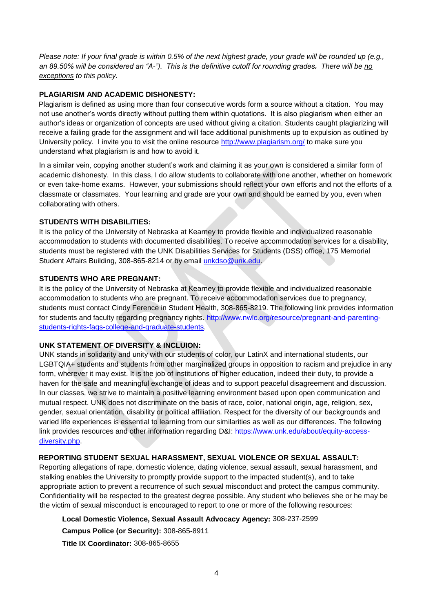*Please note: If your final grade is within 0.5% of the next highest grade, your grade will be rounded up (e.g., an 89.50% will be considered an "A-"). This is the definitive cutoff for rounding grades. There will be no exceptions to this policy.* 

## **PLAGIARISM AND ACADEMIC DISHONESTY:**

Plagiarism is defined as using more than four consecutive words form a source without a citation. You may not use another's words directly without putting them within quotations. It is also plagiarism when either an author's ideas or organization of concepts are used without giving a citation. Students caught plagiarizing will receive a failing grade for the assignment and will face additional punishments up to expulsion as outlined by University policy. I invite you to visit the online resource<http://www.plagiarism.org/> to make sure you understand what plagiarism is and how to avoid it.

In a similar vein, copying another student's work and claiming it as your own is considered a similar form of academic dishonesty. In this class, I do allow students to collaborate with one another, whether on homework or even take-home exams. However, your submissions should reflect your own efforts and not the efforts of a classmate or classmates. Your learning and grade are your own and should be earned by you, even when collaborating with others.

## **STUDENTS WITH DISABILITIES:**

It is the policy of the University of Nebraska at Kearney to provide flexible and individualized reasonable accommodation to students with documented disabilities. To receive accommodation services for a disability, students must be registered with the UNK Disabilities Services for Students (DSS) office, 175 Memorial Student Affairs Building, 308-865-8214 or by email [unkdso@unk.edu.](mailto:unkdso@unk.edu)

## **STUDENTS WHO ARE PREGNANT:**

It is the policy of the University of Nebraska at Kearney to provide flexible and individualized reasonable accommodation to students who are pregnant. To receive accommodation services due to pregnancy, students must contact Cindy Ference in Student Health, 308-865-8219. The following link provides information for students and faculty regarding pregnancy rights. [http://www.nwlc.org/resource/pregnant-and-parenting](http://www.nwlc.org/resource/pregnant-and-parenting-students-rights-faqs-college-and-graduate-students)[students-rights-faqs-college-and-graduate-students.](http://www.nwlc.org/resource/pregnant-and-parenting-students-rights-faqs-college-and-graduate-students)

## **UNK STATEMENT OF DIVERSITY & INCLUION:**

UNK stands in solidarity and unity with our students of color, our LatinX and international students, our LGBTQIA+ students and students from other marginalized groups in opposition to racism and prejudice in any form, wherever it may exist. It is the job of institutions of higher education, indeed their duty, to provide a haven for the safe and meaningful exchange of ideas and to support peaceful disagreement and discussion. In our classes, we strive to maintain a positive learning environment based upon open communication and mutual respect. UNK does not discriminate on the basis of race, color, national origin, age, religion, sex, gender, sexual orientation, disability or political affiliation. Respect for the diversity of our backgrounds and varied life experiences is essential to learning from our similarities as well as our differences. The following link provides resources and other information regarding D&I: [https://www.unk.edu/about/equity-access](https://www.unk.edu/about/equity-access-diversity.php)[diversity.php.](https://www.unk.edu/about/equity-access-diversity.php)

## **REPORTING STUDENT SEXUAL HARASSMENT, SEXUAL VIOLENCE OR SEXUAL ASSAULT:**

Reporting allegations of rape, domestic violence, dating violence, sexual assault, sexual harassment, and stalking enables the University to promptly provide support to the impacted student(s), and to take appropriate action to prevent a recurrence of such sexual misconduct and protect the campus community. Confidentiality will be respected to the greatest degree possible. Any student who believes she or he may be the victim of sexual misconduct is encouraged to report to one or more of the following resources:

## **Local Domestic Violence, Sexual Assault Advocacy Agency:** 308-237-2599

**Campus Police (or Security):** 308-865-8911

**Title IX Coordinator:** 308-865-8655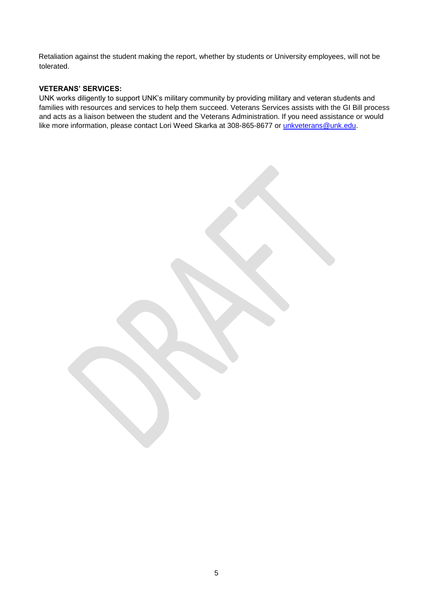Retaliation against the student making the report, whether by students or University employees, will not be tolerated.

## **VETERANS' SERVICES:**

UNK works diligently to support UNK's military community by providing military and veteran students and families with resources and services to help them succeed. Veterans Services assists with the GI Bill process and acts as a liaison between the student and the Veterans Administration. If you need assistance or would like more information, please contact Lori Weed Skarka at 308-865-8677 or [unkveterans@unk.edu.](mailto:unkveterans@unk.edu)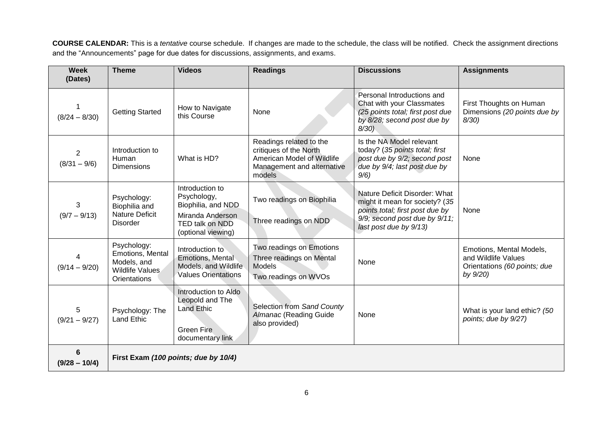**COURSE CALENDAR:** This is a *tentative* course schedule. If changes are made to the schedule, the class will be notified. Check the assignment directions and the "Announcements" page for due dates for discussions, assignments, and exams.

| <b>Week</b><br>(Dates)           | <b>Theme</b>                                                                             | <b>Videos</b>                                                                                                     | <b>Readings</b>                                                                                                         | <b>Discussions</b>                                                                                                                                            | <b>Assignments</b>                                                                          |
|----------------------------------|------------------------------------------------------------------------------------------|-------------------------------------------------------------------------------------------------------------------|-------------------------------------------------------------------------------------------------------------------------|---------------------------------------------------------------------------------------------------------------------------------------------------------------|---------------------------------------------------------------------------------------------|
| $(8/24 - 8/30)$                  | <b>Getting Started</b>                                                                   | How to Navigate<br>this Course                                                                                    | None                                                                                                                    | Personal Introductions and<br>Chat with your Classmates<br>(25 points total; first post due<br>by 8/28; second post due by<br>$8/30$ )                        | First Thoughts on Human<br>Dimensions (20 points due by<br>$8/30$ )                         |
| $\overline{2}$<br>$(8/31 - 9/6)$ | Introduction to<br>Human<br><b>Dimensions</b>                                            | What is HD?                                                                                                       | Readings related to the<br>critiques of the North<br>American Model of Wildlife<br>Management and alternative<br>models | Is the NA Model relevant<br>today? (35 points total; first<br>post due by 9/2; second post<br>due by 9/4; last post due by<br>9/6                             | None                                                                                        |
| 3<br>$(9/7 - 9/13)$              | Psychology:<br>Biophilia and<br><b>Nature Deficit</b><br><b>Disorder</b>                 | Introduction to<br>Psychology,<br>Biophilia, and NDD<br>Miranda Anderson<br>TED talk on NDD<br>(optional viewing) | Two readings on Biophilia<br>Three readings on NDD                                                                      | Nature Deficit Disorder: What<br>might it mean for society? (35<br>points total; first post due by<br>9/9; second post due by 9/11;<br>last post due by 9/13) | None                                                                                        |
| 4<br>$(9/14 - 9/20)$             | Psychology:<br>Emotions, Mental<br>Models, and<br><b>Wildlife Values</b><br>Orientations | Introduction to<br><b>Emotions, Mental</b><br>Models, and Wildlife<br><b>Values Orientations</b>                  | Two readings on Emotions<br>Three readings on Mental<br>Models<br>Two readings on WVOs                                  | None                                                                                                                                                          | Emotions, Mental Models,<br>and Wildlife Values<br>Orientations (60 points; due<br>by 9/20) |
| 5<br>$(9/21 - 9/27)$             | Psychology: The<br><b>Land Ethic</b>                                                     | Introduction to Aldo<br>Leopold and The<br><b>Land Ethic</b><br><b>Green Fire</b><br>documentary link             | Selection from Sand County<br>Almanac (Reading Guide<br>also provided)                                                  | None                                                                                                                                                          | What is your land ethic? (50<br>points; due by 9/27)                                        |
| 6<br>$(9/28 - 10/4)$             | First Exam (100 points; due by 10/4)                                                     |                                                                                                                   |                                                                                                                         |                                                                                                                                                               |                                                                                             |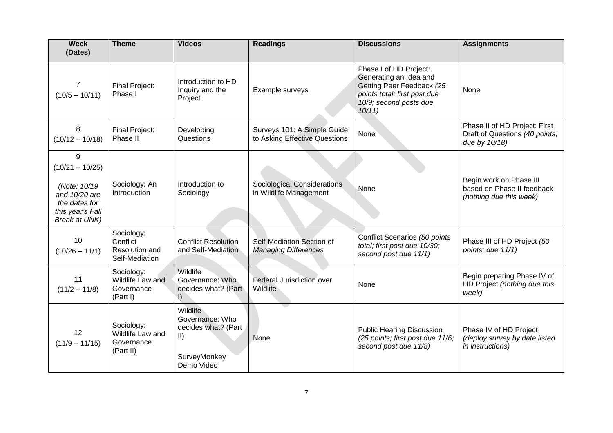| <b>Week</b><br>(Dates)                                                                                               | <b>Theme</b>                                               | <b>Videos</b>                                                                                     | <b>Readings</b>                                              | <b>Discussions</b>                                                                                                                               | <b>Assignments</b>                                                               |
|----------------------------------------------------------------------------------------------------------------------|------------------------------------------------------------|---------------------------------------------------------------------------------------------------|--------------------------------------------------------------|--------------------------------------------------------------------------------------------------------------------------------------------------|----------------------------------------------------------------------------------|
| 7<br>$(10/5 - 10/11)$                                                                                                | <b>Final Project:</b><br>Phase I                           | Introduction to HD<br>Inquiry and the<br>Project                                                  | Example surveys                                              | Phase I of HD Project:<br>Generating an Idea and<br>Getting Peer Feedback (25<br>points total; first post due<br>10/9; second posts due<br>10/11 | None                                                                             |
| 8<br>$(10/12 - 10/18)$                                                                                               | <b>Final Project:</b><br>Phase II                          | Developing<br>Questions                                                                           | Surveys 101: A Simple Guide<br>to Asking Effective Questions | <b>None</b>                                                                                                                                      | Phase II of HD Project: First<br>Draft of Questions (40 points;<br>due by 10/18) |
| 9<br>$(10/21 - 10/25)$<br>(Note: 10/19<br>and 10/20 are<br>the dates for<br>this year's Fall<br><b>Break at UNK)</b> | Sociology: An<br>Introduction                              | Introduction to<br>Sociology                                                                      | <b>Sociological Considerations</b><br>in Wildlife Management | None                                                                                                                                             | Begin work on Phase III<br>based on Phase II feedback<br>(nothing due this week) |
| 10<br>$(10/26 - 11/1)$                                                                                               | Sociology:<br>Conflict<br>Resolution and<br>Self-Mediation | <b>Conflict Resolution</b><br>and Self-Mediation                                                  | Self-Mediation Section of<br><b>Managing Differences</b>     | Conflict Scenarios (50 points<br>total; first post due 10/30;<br>second post due 11/1)                                                           | Phase III of HD Project (50<br>points; due 11/1)                                 |
| 11<br>$(11/2 - 11/8)$                                                                                                | Sociology:<br>Wildlife Law and<br>Governance<br>(Part I)   | Wildlife<br>Governance: Who<br>decides what? (Part<br>$\vert$                                     | <b>Federal Jurisdiction over</b><br>Wildlife                 | None                                                                                                                                             | Begin preparing Phase IV of<br>HD Project (nothing due this<br>week)             |
| 12<br>$(11/9 - 11/15)$                                                                                               | Sociology:<br>Wildlife Law and<br>Governance<br>(Part II)  | Wildlife<br>Governance: Who<br>decides what? (Part<br>$\vert \vert$<br>SurveyMonkey<br>Demo Video | None                                                         | <b>Public Hearing Discussion</b><br>(25 points; first post due 11/6;<br>second post due 11/8)                                                    | Phase IV of HD Project<br>(deploy survey by date listed<br>in instructions)      |